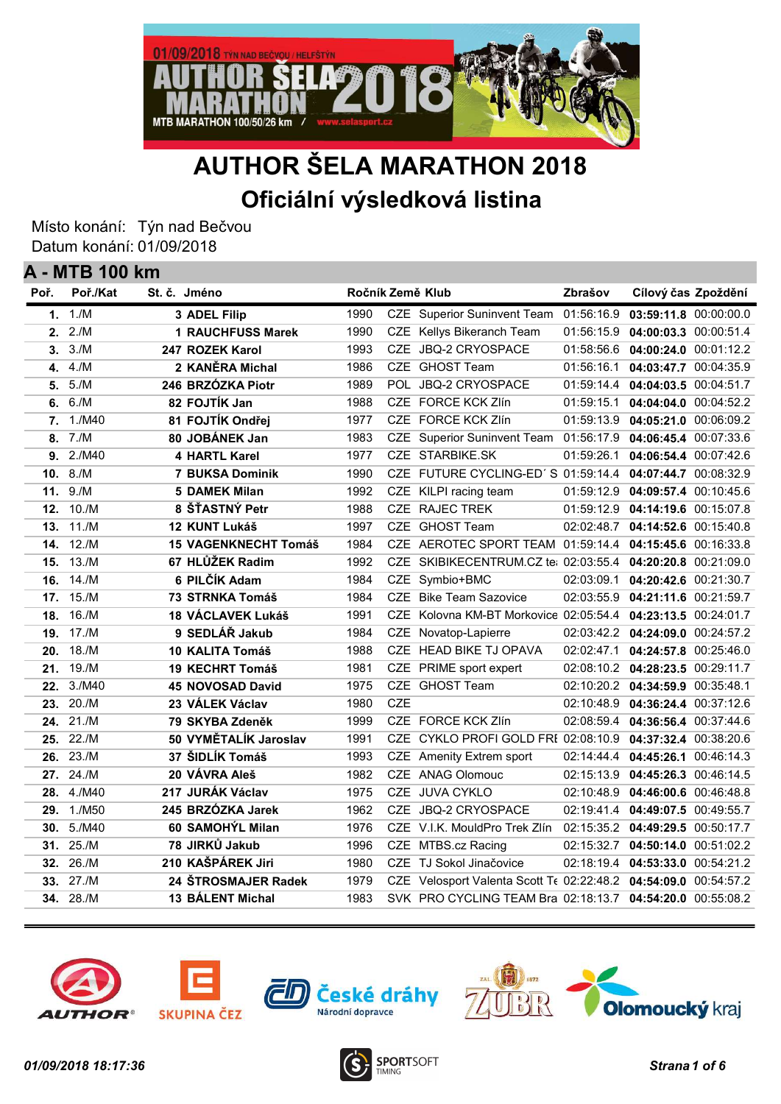

# AUTHOR ŠELA MARATHON 2018 Oficiální výsledková listina

Místo konání: Týn nad Bečvou Datum konání: 01/09/2018

|      | <b>A - MTB 100 km</b> |                             |                  |            |                                                                 |            |                                    |  |
|------|-----------------------|-----------------------------|------------------|------------|-----------------------------------------------------------------|------------|------------------------------------|--|
| Poř. | Poř./Kat              | St. č. Jméno                | Ročník Země Klub |            |                                                                 | Zbrašov    | Cílový čas Zpoždění                |  |
|      | 1. $1/M$              | 3 ADEL Filip                | 1990             |            | <b>CZE</b> Superior Suninvent Team                              | 01:56:16.9 | 03:59:11.8 00:00:00.0              |  |
|      | 2.2/M                 | 1 RAUCHFUSS Marek           | 1990             |            | CZE Kellys Bikeranch Team                                       | 01:56:15.9 | 04:00:03.3 00:00:51.4              |  |
|      | 3.3/M                 | 247 ROZEK Karol             | 1993             |            | CZE JBQ-2 CRYOSPACE                                             | 01:58:56.6 | 04:00:24.0 00:01:12.2              |  |
| 4.   | 4./M                  | 2 KANÈRA Michal             | 1986             |            | CZE GHOST Team                                                  | 01:56:16.1 | 04:03:47.7 00:04:35.9              |  |
|      | 5. 5./M               | 246 BRZÓZKA Piotr           | 1989             |            | POL JBQ-2 CRYOSPACE                                             | 01:59:14.4 | 04:04:03.5 00:04:51.7              |  |
| 6.   | 6./M                  | 82 FOJTÍK Jan               | 1988             |            | CZE FORCE KCK Zlín                                              | 01:59:15.1 | 04:04:04.0 00:04:52.2              |  |
|      | 7. 1./M40             | 81 FOJTÍK Ondřej            | 1977             |            | CZE FORCE KCK Zlín                                              | 01:59:13.9 | 04:05:21.0 00:06:09.2              |  |
| 8.   | 7./M                  | 80 JOBÁNEK Jan              | 1983             |            | CZE Superior Suninvent Team 01:56:17.9                          |            | 04:06:45.4 00:07:33.6              |  |
|      | 9.2/M40               | 4 HARTL Karel               | 1977             |            | CZE STARBIKE.SK                                                 | 01:59:26.1 | 04:06:54.4 00:07:42.6              |  |
| 10.  | 8./M                  | <b>7 BUKSA Dominik</b>      | 1990             |            | CZE FUTURE CYCLING-ED'S 01:59:14.4                              |            | 04:07:44.7 00:08:32.9              |  |
| 11.  | 9./M                  | <b>5 DAMEK Milan</b>        | 1992             |            | CZE KILPI racing team                                           | 01:59:12.9 | 04:09:57.4 00:10:45.6              |  |
| 12.  | 10./M                 | 8 ŠŤASTNÝ Petr              | 1988             |            | CZE RAJEC TREK                                                  | 01:59:12.9 | 04:14:19.6 00:15:07.8              |  |
| 13.  | 11./M                 | 12 KUNT Lukáš               | 1997             |            | CZE GHOST Team                                                  | 02:02:48.7 | 04:14:52.6 00:15:40.8              |  |
| 14.  | 12./M                 | <b>15 VAGENKNECHT Tomáš</b> | 1984             |            | CZE AEROTEC SPORT TEAM 01:59:14.4                               |            | 04:15:45.6 00:16:33.8              |  |
| 15.  | 13./M                 | 67 HLŮŽEK Radim             | 1992             | <b>CZE</b> | SKIBIKECENTRUM.CZ te: 02:03:55.4                                |            | 04:20:20.8 00:21:09.0              |  |
| 16.  | 14./M                 | 6 PILČÍK Adam               | 1984             | <b>CZE</b> | Symbio+BMC                                                      | 02:03:09.1 | 04:20:42.6 00:21:30.7              |  |
| 17.  | 15./M                 | 73 STRNKA Tomáš             | 1984             | <b>CZE</b> | <b>Bike Team Sazovice</b>                                       | 02:03:55.9 | 04:21:11.6 00:21:59.7              |  |
| 18.  | 16./M                 | 18 VÁCLAVEK Lukáš           | 1991             | CZE        | Kolovna KM-BT Morkovice 02:05:54.4                              |            | 04:23:13.5 00:24:01.7              |  |
| 19.  | 17./M                 | 9 SEDLÁŘ Jakub              | 1984             | <b>CZE</b> | Novatop-Lapierre                                                | 02:03:42.2 | 04:24:09.0 00:24:57.2              |  |
| 20.  | 18./M                 | 10 KALITA Tomáš             | 1988             | <b>CZE</b> | <b>HEAD BIKE TJ OPAVA</b>                                       | 02:02:47.1 | 04:24:57.8 00:25:46.0              |  |
| 21.  | 19./M                 | <b>19 KECHRT Tomáš</b>      | 1981             | CZE        | PRIME sport expert                                              |            | 02:08:10.2  04:28:23.5  00:29:11.7 |  |
| 22.  | 3./M40                | <b>45 NOVOSAD David</b>     | 1975             |            | CZE GHOST Team                                                  |            | 02:10:20.2  04:34:59.9  00:35:48.1 |  |
| 23.  | 20./M                 | 23 VÁLEK Václav             | 1980             | <b>CZE</b> |                                                                 |            | 02:10:48.9  04:36:24.4  00:37:12.6 |  |
| 24.  | 21./M                 | 79 SKYBA Zdeněk             | 1999             |            | CZE FORCE KCK Zlín                                              |            | 02:08:59.4  04:36:56.4  00:37:44.6 |  |
| 25.  | 22./M                 | 50 VYMĚTALÍK Jaroslav       | 1991             |            | CZE CYKLO PROFI GOLD FRI 02:08:10.9 04:37:32.4 00:38:20.6       |            |                                    |  |
| 26.  | 23./M                 | 37 ŠIDLÍK Tomáš             | 1993             |            | CZE Amenity Extrem sport                                        |            | 02:14:44.4  04:45:26.1  00:46:14.3 |  |
| 27.  | $24$ ./M              | 20 VÁVRA Aleš               | 1982             |            | CZE ANAG Olomouc                                                |            | 02:15:13.9 04:45:26.3 00:46:14.5   |  |
| 28.  | 4./M40                | 217 JURÁK Václav            | 1975             |            | CZE JUVA CYKLO                                                  |            | 02:10:48.9 04:46:00.6 00:46:48.8   |  |
| 29.  | 1./M50                | 245 BRZÓZKA Jarek           | 1962             |            | CZE JBQ-2 CRYOSPACE                                             |            | 02:19:41.4 04:49:07.5 00:49:55.7   |  |
| 30.  | 5./M40                | 60 SAMOHÝL Milan            | 1976             |            | CZE V.I.K. MouldPro Trek Zlín                                   |            | 02:15:35.2 04:49:29.5 00:50:17.7   |  |
| 31.  | 25./M                 | 78 JIRKŮ Jakub              | 1996             |            | CZE MTBS.cz Racing                                              |            | 02:15:32.7 04:50:14.0 00:51:02.2   |  |
| 32.  | 26./M                 | 210 KAŠPÁREK Jiri           | 1980             |            | CZE TJ Sokol Jinačovice                                         |            | 02:18:19.4  04:53:33.0  00:54:21.2 |  |
|      | 33. 27./M             | 24 ŠTROSMAJER Radek         | 1979             |            | CZE Velosport Valenta Scott Te 02:22:48.2 04:54:09.0 00:54:57.2 |            |                                    |  |
|      | 34. 28./M             | <b>13 BÁLENT Michal</b>     | 1983             |            | SVK PRO CYCLING TEAM Bra 02:18:13.7 04:54:20.0 00:55:08.2       |            |                                    |  |
|      |                       |                             |                  |            |                                                                 |            |                                    |  |









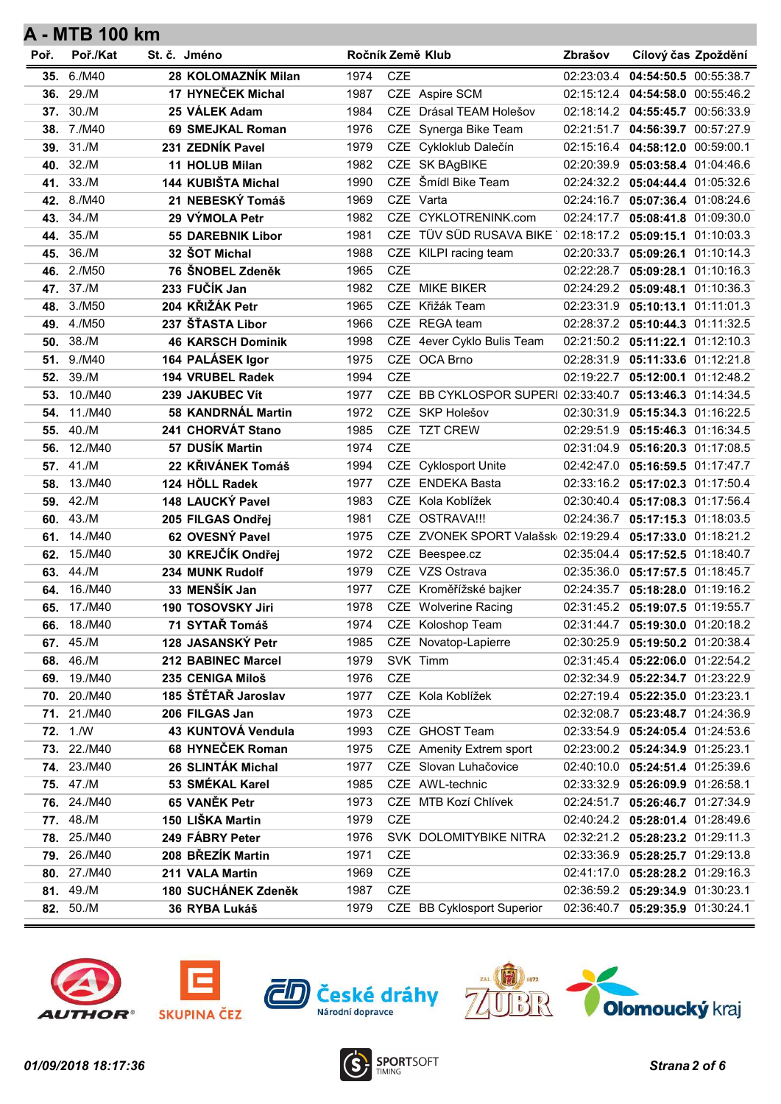| Poř. | Poř./Kat           | St. č. Jméno             | Ročník Země Klub |            |                                                          | Zbrašov    | Cílový čas Zpoždění                  |  |
|------|--------------------|--------------------------|------------------|------------|----------------------------------------------------------|------------|--------------------------------------|--|
| 35.  | 6./M40             | 28 KOLOMAZNÍK Milan      | 1974             | <b>CZE</b> |                                                          | 02:23:03.4 | 04:54:50.5 00:55:38.7                |  |
| 36.  | 29./M              | 17 HYNEČEK Michal        | 1987             |            | CZE Aspire SCM                                           |            | 02:15:12.4  04:54:58.0  00:55:46.2   |  |
| 37.  | 30./M              | 25 VÁLEK Adam            | 1984             |            | CZE Drásal TEAM Holešov                                  |            | 02:18:14.2 04:55:45.7 00:56:33.9     |  |
|      | 38. 7./M40         | 69 SMEJKAL Roman         | 1976             |            | CZE Synerga Bike Team                                    |            | 02:21:51.7 04:56:39.7 00:57:27.9     |  |
|      | 39. 31./M          | 231 ZEDNÍK Pavel         | 1979             |            | CZE Cykloklub Dalečín                                    |            | 02:15:16.4  04:58:12.0  00:59:00.1   |  |
| 40.  | 32./M              | 11 HOLUB Milan           | 1982             |            | CZE SK BAgBIKE                                           | 02:20:39.9 | 05:03:58.4 01:04:46.6                |  |
| 41.  | 33./M              | 144 KUBIŠTA Michal       | 1990             | CZE        | Šmídl Bike Team                                          |            | 02:24:32.2 05:04:44.4 01:05:32.6     |  |
|      | 42. 8./M40         | 21 NEBESKÝ Tomáš         | 1969             |            | CZE Varta                                                |            | 02:24:16.7 05:07:36.4 01:08:24.6     |  |
| 43.  | 34./M              | 29 VÝMOLA Petr           | 1982             |            | CZE CYKLOTRENINK.com                                     |            | 02:24:17.7 05:08:41.8 01:09:30.0     |  |
| 44.  | 35./M              | <b>55 DAREBNIK Libor</b> | 1981             |            | CZE TÜV SÜD RUSAVA BIKE 02:18:17.2 05:09:15.1 01:10:03.3 |            |                                      |  |
| 45.  | 36./M              | 32 ŠOT Michal            | 1988             |            | CZE KILPI racing team                                    |            | 02:20:33.7 05:09:26.1 01:10:14.3     |  |
|      | 46. 2./M50         | 76 ŠNOBEL Zdeněk         | 1965             | <b>CZE</b> |                                                          |            | 02:22:28.7 05:09:28.1 01:10:16.3     |  |
|      | 47. 37./M          | 233 FUČÍK Jan            | 1982             |            | CZE MIKE BIKER                                           |            | 02:24:29.2 05:09:48.1 01:10:36.3     |  |
| 48.  | 3./M50             | 204 KŘIŽÁK Petr          | 1965             |            | CZE Křižák Team                                          | 02:23:31.9 | 05:10:13.1 01:11:01.3                |  |
| 49.  | 4./M50             | 237 ŠŤASTA Libor         | 1966             |            | CZE REGA team                                            |            | 02:28:37.2 05:10:44.3 01:11:32.5     |  |
| 50.  | 38./M              | <b>46 KARSCH Dominik</b> | 1998             |            | CZE 4ever Cyklo Bulis Team                               |            | 02:21:50.2   05:11:22.1   01:12:10.3 |  |
| 51.  | 9./M40             | 164 PALÁSEK Igor         | 1975             |            | CZE OCA Brno                                             |            | 02:28:31.9 05:11:33.6 01:12:21.8     |  |
| 52.  | 39./M              | 194 VRUBEL Radek         | 1994             | <b>CZE</b> |                                                          | 02:19:22.7 | 05:12:00.1 01:12:48.2                |  |
| 53.  | 10./M40            | 239 JAKUBEC Vít          | 1977             |            | CZE BB CYKLOSPOR SUPERI 02:33:40.7 05:13:46.3 01:14:34.5 |            |                                      |  |
| 54.  | 11./M40            | 58 KANDRNÁL Martin       | 1972             |            | CZE SKP Holešov                                          |            | 02:30:31.9 05:15:34.3 01:16:22.5     |  |
| 55.  | 40./M              | 241 CHORVÁT Stano        | 1985             |            | CZE TZT CREW                                             |            | 02:29:51.9 05:15:46.3 01:16:34.5     |  |
| 56.  | 12./M40            | 57 DUSÍK Martin          | 1974             | <b>CZE</b> |                                                          | 02:31:04.9 | 05:16:20.3 01:17:08.5                |  |
| 57.  | 41./M              | 22 KŘIVÁNEK Tomáš        | 1994             |            | CZE Cyklosport Unite                                     |            | 02:42:47.0 05:16:59.5 01:17:47.7     |  |
| 58.  | 13./M40            | 124 HÖLL Radek           | 1977             |            | CZE ENDEKA Basta                                         |            | 02:33:16.2   05:17:02.3   01:17:50.4 |  |
| 59.  | 42./M              | 148 LAUCKÝ Pavel         | 1983             |            | CZE Kola Koblížek                                        |            | 02:30:40.4  05:17:08.3  01:17:56.4   |  |
| 60.  | 43./M              | 205 FILGAS Ondřej        | 1981             |            | CZE OSTRAVA !!!                                          | 02:24:36.7 | 05:17:15.3 01:18:03.5                |  |
| 61.  | 14./M40            | 62 OVESNÝ Pavel          | 1975             |            | CZE ZVONEK SPORT Valašsk 02:19:29.4                      |            | 05:17:33.0 01:18:21.2                |  |
| 62.  | 15./M40            | 30 KREJČÍK Ondřej        | 1972             |            | CZE Beespee.cz                                           |            | 02:35:04.4  05:17:52.5  01:18:40.7   |  |
| 63.  | 44./M              | 234 MUNK Rudolf          | 1979             |            | CZE VZS Ostrava                                          |            | 02:35:36.0 05:17:57.5 01:18:45.7     |  |
| 64.  | 16./M40            | 33 MENŠÍK Jan            | 1977             |            | CZE Kroměřížské bajker                                   | 02:24:35.7 | 05:18:28.0 01:19:16.2                |  |
| 65.  | 17./M40            | 190 TOSOVSKY Jiri        | 1978             |            | <b>CZE</b> Wolverine Racing                              |            | 02:31:45.2 05:19:07.5 01:19:55.7     |  |
| 66.  | 18./M40            | 71 SYTAŘ Tomáš           | 1974             |            | CZE Koloshop Team                                        |            | 02:31:44.7  05:19:30.0  01:20:18.2   |  |
|      | 67. 45./M          | 128 JASANSKÝ Petr        | 1985             |            | CZE Novatop-Lapierre                                     |            | 02:30:25.9   05:19:50.2   01:20:38.4 |  |
| 68.  | 46./M              | 212 BABINEC Marcel       | 1979             |            | SVK Timm                                                 |            | 02:31:45.4  05:22:06.0  01:22:54.2   |  |
|      | 69. 19./M40        | 235 CENIGA Miloš         | 1976             | CZE        |                                                          |            | 02:32:34.9   05:22:34.7   01:23:22.9 |  |
|      | 70. 20./M40        | 185 ŠTĚTAŘ Jaroslav      | 1977             |            | CZE Kola Koblížek                                        |            | 02:27:19.4  05:22:35.0  01:23:23.1   |  |
|      | 71. 21./M40        | 206 FILGAS Jan           | 1973             | CZE        |                                                          |            | 02:32:08.7 05:23:48.7 01:24:36.9     |  |
| 72.  | 1.1                | 43 KUNTOVÁ Vendula       | 1993             |            | CZE GHOST Team                                           |            | 02:33:54.9   05:24:05.4   01:24:53.6 |  |
| 73.  | 22./M40            | 68 HYNEČEK Roman         | 1975             |            | CZE Amenity Extrem sport                                 |            | 02:23:00.2  05:24:34.9  01:25:23.1   |  |
|      | <b>74.</b> 23./M40 | 26 SLINTÁK Michal        | 1977             |            | CZE Slovan Luhačovice                                    |            | 02:40:10.0 05:24:51.4 01:25:39.6     |  |
|      | 75. 47./M          | 53 SMÉKAL Karel          | 1985             |            | CZE AWL-technic                                          |            | 02:33:32.9 05:26:09.9 01:26:58.1     |  |
|      | 76. 24./M40        | 65 VANĚK Petr            | 1973             |            | CZE MTB Kozí Chlívek                                     |            | 02:24:51.7   05:26:46.7   01:27:34.9 |  |
|      | 77. 48./M          | 150 LIŠKA Martin         | 1979             | <b>CZE</b> |                                                          |            | 02:40:24.2  05:28:01.4  01:28:49.6   |  |
|      | 78. 25./M40        | 249 FÁBRY Peter          | 1976             |            | SVK DOLOMITYBIKE NITRA                                   |            | 02:32:21.2 05:28:23.2 01:29:11.3     |  |
|      | <b>79.</b> 26./M40 | 208 BŘEZÍK Martin        | 1971             | CZE        |                                                          |            | 02:33:36.9 05:28:25.7 01:29:13.8     |  |
|      | 80. 27./M40        | 211 VALA Martin          | 1969             | <b>CZE</b> |                                                          |            | 02:41:17.0 05:28:28.2 01:29:16.3     |  |
|      | 81. 49./M          | 180 SUCHÁNEK Zdeněk      | 1987             | <b>CZE</b> |                                                          |            | 02:36:59.2  05:29:34.9  01:30:23.1   |  |
|      | 82. 50./M          | 36 RYBA Lukáš            | 1979             |            | CZE BB Cyklosport Superior                               |            | 02:36:40.7  05:29:35.9  01:30:24.1   |  |











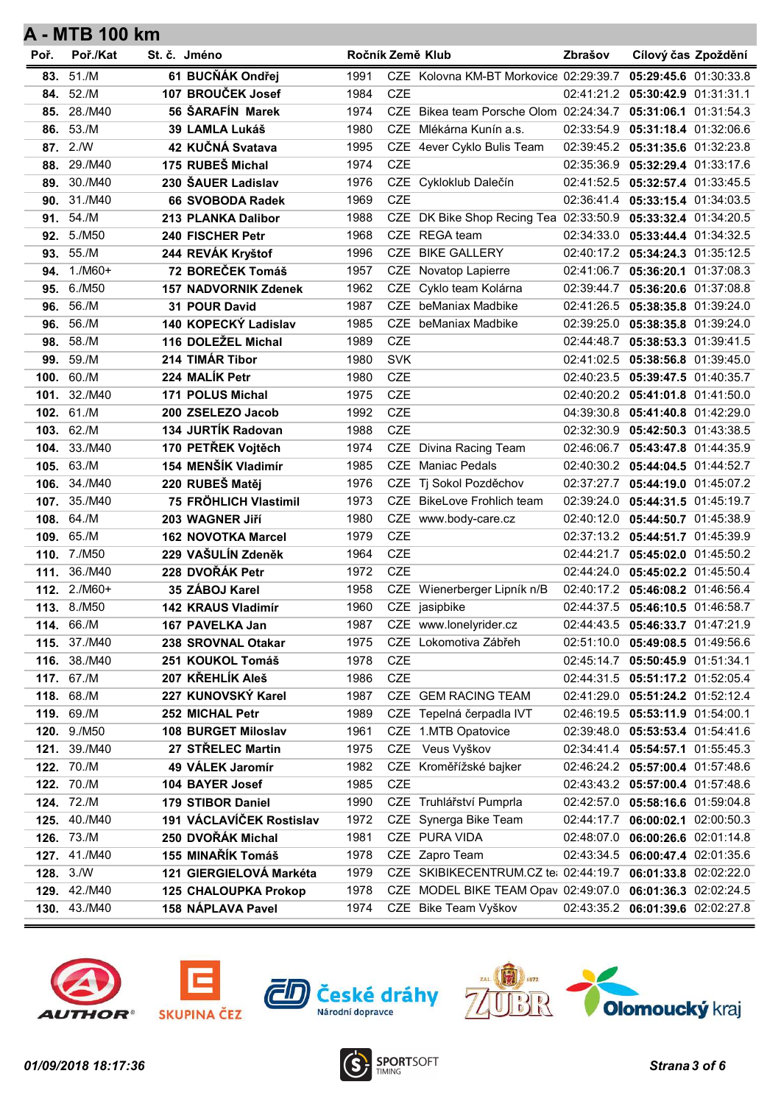| Poř. | Poř./Kat                            | St. č. Jméno                           | Ročník Země Klub |            |                                                              | Zbrašov    | Cílový čas Zpoždění                                       |  |
|------|-------------------------------------|----------------------------------------|------------------|------------|--------------------------------------------------------------|------------|-----------------------------------------------------------|--|
| 83.  | 51./M                               | 61 BUCŇÁK Ondřej                       | 1991             |            | CZE Kolovna KM-BT Morkovice 02:29:39.7                       |            | 05:29:45.6 01:30:33.8                                     |  |
| 84.  | 52./M                               | 107 BROUČEK Josef                      | 1984             | <b>CZE</b> |                                                              |            | 02:41:21.2 05:30:42.9 01:31:31.1                          |  |
| 85.  | 28./M40                             | 56 ŠARAFÍN Marek                       | 1974             |            | CZE Bikea team Porsche Olom 02:24:34.7 05:31:06.1 01:31:54.3 |            |                                                           |  |
| 86.  | 53./M                               | 39 LAMLA Lukáš                         | 1980             |            | CZE Mlékárna Kunín a.s.                                      | 02:33:54.9 | 05:31:18.4 01:32:06.6                                     |  |
| 87.  | 2/N                                 | 42 KUČNÁ Svatava                       | 1995             |            | CZE 4ever Cyklo Bulis Team                                   | 02:39:45.2 | 05:31:35.6 01:32:23.8                                     |  |
| 88.  | 29./M40                             | 175 RUBEŠ Michal                       | 1974             | <b>CZE</b> |                                                              | 02:35:36.9 | 05:32:29.4 01:33:17.6                                     |  |
| 89.  | 30./M40                             | 230 ŠAUER Ladislav                     | 1976             |            | CZE Cykloklub Dalečín                                        |            | 02:41:52.5   05:32:57.4   01:33:45.5                      |  |
| 90.  | 31./M40                             | 66 SVOBODA Radek                       | 1969             | <b>CZE</b> |                                                              |            | 02:36:41.4 05:33:15.4 01:34:03.5                          |  |
| 91.  | 54./M                               | 213 PLANKA Dalibor                     | 1988             |            | CZE DK Bike Shop Recing Tea 02:33:50.9                       |            | 05:33:32.4 01:34:20.5                                     |  |
| 92.  | 5./M50                              | 240 FISCHER Petr                       | 1968             |            | CZE REGA team                                                | 02:34:33.0 | 05:33:44.4 01:34:32.5                                     |  |
| 93.  | 55./M                               | 244 REVÁK Kryštof                      | 1996             |            | CZE BIKE GALLERY                                             |            | 02:40:17.2   05:34:24.3   01:35:12.5                      |  |
| 94.  | $1./M60+$                           | 72 BOREČEK Tomáš                       | 1957             |            | CZE Novatop Lapierre                                         | 02:41:06.7 | 05:36:20.1 01:37:08.3                                     |  |
| 95.  | 6./M50                              | <b>157 NADVORNIK Zdenek</b>            | 1962             | <b>CZE</b> | Cyklo team Kolárna                                           |            | 02:39:44.7 05:36:20.6 01:37:08.8                          |  |
| 96.  | 56./M                               | 31 POUR David                          | 1987             |            | CZE beManiax Madbike                                         | 02:41:26.5 | 05:38:35.8 01:39:24.0                                     |  |
| 96.  | 56./M                               | 140 KOPECKÝ Ladislav                   | 1985             |            | CZE beManiax Madbike                                         |            | 02:39:25.0 05:38:35.8 01:39:24.0                          |  |
| 98.  | 58./M                               | 116 DOLEŽEL Michal                     | 1989             | CZE        |                                                              | 02:44:48.7 | 05:38:53.3 01:39:41.5                                     |  |
| 99.  | 59./M                               | 214 TIMÁR Tibor                        | 1980             | <b>SVK</b> |                                                              | 02:41:02.5 | 05:38:56.8 01:39:45.0                                     |  |
| 100. | 60./M                               | 224 MALÍK Petr                         | 1980             | CZE        |                                                              | 02:40:23.5 | 05:39:47.5 01:40:35.7                                     |  |
| 101. | 32./M40                             | <b>171 POLUS Michal</b>                | 1975             | CZE        |                                                              |            | 02:40:20.2  05:41:01.8  01:41:50.0                        |  |
| 102. | 61./M                               | 200 ZSELEZO Jacob                      | 1992             | <b>CZE</b> |                                                              |            |                                                           |  |
| 103. | 62./M                               | 134 JURTÍK Radovan                     | 1988             | CZE        |                                                              |            | 02:32:30.9 05:42:50.3 01:43:38.5                          |  |
| 104. | 33./M40                             | 170 PETŘEK Vojtěch                     | 1974             |            | CZE Divina Racing Team                                       | 02:46:06.7 | 05:43:47.8 01:44:35.9                                     |  |
| 105. | 63./M                               | 154 MENŠÍK Vladimír                    | 1985             |            | CZE Maniac Pedals                                            |            | 02:40:30.2  05:44:04.5  01:44:52.7                        |  |
| 106. | 34./M40                             | 220 RUBEŠ Matěj                        | 1976             |            | CZE Tj Sokol Pozděchov                                       |            | 02:37:27.7 05:44:19.0 01:45:07.2                          |  |
| 107. | 35./M40                             | 75 FRÖHLICH Vlastimil                  | 1973             |            | CZE BikeLove Frohlich team                                   | 02:39:24.0 | 05:44:31.5 01:45:19.7                                     |  |
| 108. | 64./M                               | 203 WAGNER JIří                        | 1980             |            | CZE www.body-care.cz                                         | 02:40:12.0 | 05:44:50.7 01:45:38.9                                     |  |
| 109. | 65./M                               | <b>162 NOVOTKA Marcel</b>              | 1979             | <b>CZE</b> |                                                              |            | 02:37:13.2  05:44:51.7  01:45:39.9                        |  |
|      | 110. 7./M50                         | 229 VAŠULÍN Zdeněk                     | 1964             | CZE        |                                                              |            | 02:44:21.7 05:45:02.0 01:45:50.2                          |  |
| 111. | 36./M40                             | 228 DVOŘÁK Petr                        | 1972             | <b>CZE</b> |                                                              |            | 02:44:24.0  05:45:02.2  01:45:50.4                        |  |
| 112. | $2./M60+$                           | 35 ZÁBOJ Karel                         | 1958             |            | CZE Wienerberger Lipník n/B                                  | 02:40:17.2 | 05:46:08.2 01:46:56.4                                     |  |
|      | 113. 8./M50                         | 142 KRAUS Vladimír                     | 1960             |            | CZE jasipbike                                                | 02:44:37.5 | 05:46:10.5 01:46:58.7                                     |  |
|      | 114. 66./M                          | 167 PAVELKA Jan                        | 1987             |            | CZE www.lonelyrider.cz                                       | 02:44:43.5 | 05:46:33.7 01:47:21.9                                     |  |
|      | <b>115.</b> 37./M40<br>116. 38./M40 | 238 SROVNAL Otakar<br>251 KOUKOL Tomáš | 1975<br>1978     | <b>CZE</b> | CZE Lokomotiva Zábřeh                                        |            | 02:51:10.0 05:49:08.5 01:49:56.6                          |  |
|      | 117. 67./M                          | 207 KŘEHLÍK Aleš                       | 1986             | CZE        |                                                              | 02:45:14.7 | 05:50:45.9 01:51:34.1<br>02:44:31.5 05:51:17.2 01:52:05.4 |  |
|      | 118. 68./M                          | 227 KUNOVSKÝ Karel                     | 1987             |            | CZE GEM RACING TEAM                                          |            | 02:41:29.0 05:51:24.2 01:52:12.4                          |  |
|      | 119. 69./M                          | 252 MICHAL Petr                        | 1989             |            | CZE Tepelná čerpadla IVT                                     | 02:46:19.5 | 05:53:11.9 01:54:00.1                                     |  |
| 120. | 9./M50                              | 108 BURGET Miloslav                    | 1961             |            | CZE 1.MTB Opatovice                                          | 02:39:48.0 | 05:53:53.4 01:54:41.6                                     |  |
| 121. | 39./M40                             | 27 STŘELEC Martin                      | 1975             |            | CZE Veus Vyškov                                              | 02:34:41.4 | 05:54:57.1 01:55:45.3                                     |  |
|      | 122. 70./M                          | 49 VÁLEK Jaromír                       | 1982             |            | CZE Kroměřížské bajker                                       |            | 02:46:24.2 05:57:00.4 01:57:48.6                          |  |
|      | 122. 70./M                          | 104 BAYER Josef                        | 1985             | CZE        |                                                              |            | 02:43:43.2  05:57:00.4  01:57:48.6                        |  |
|      | 124. 72./M                          | 179 STIBOR Daniel                      | 1990             |            | CZE Truhlářství Pumprla                                      | 02:42:57.0 | 05:58:16.6 01:59:04.8                                     |  |
| 125. | 40./M40                             | 191 VÁCLAVÍČEK Rostislav               | 1972             |            | CZE Synerga Bike Team                                        | 02:44:17.7 | 06:00:02.1 02:00:50.3                                     |  |
|      | 126. 73./M                          | 250 DVOŘÁK Michal                      | 1981             |            | CZE PURA VIDA                                                | 02:48:07.0 | 06:00:26.6 02:01:14.8                                     |  |
| 127. | 41./M40                             | 155 MINAŘÍK Tomáš                      | 1978             |            | CZE Zapro Team                                               | 02:43:34.5 | 06:00:47.4 02:01:35.6                                     |  |
|      | <b>128.</b> 3./W                    | 121 GIERGIELOVÁ Markéta                | 1979             |            | CZE SKIBIKECENTRUM.CZ te: 02:44:19.7                         |            | 06:01:33.8 02:02:22.0                                     |  |
|      | 129. 42./M40                        | <b>125 CHALOUPKA Prokop</b>            | 1978             |            | CZE MODEL BIKE TEAM Opav 02:49:07.0 06:01:36.3 02:02:24.5    |            |                                                           |  |
|      | 130. 43./M40                        | 158 NÁPLAVA Pavel                      | 1974             |            | CZE Bike Team Vyškov                                         |            | 02:43:35.2 06:01:39.6 02:02:27.8                          |  |
|      |                                     |                                        |                  |            |                                                              |            |                                                           |  |









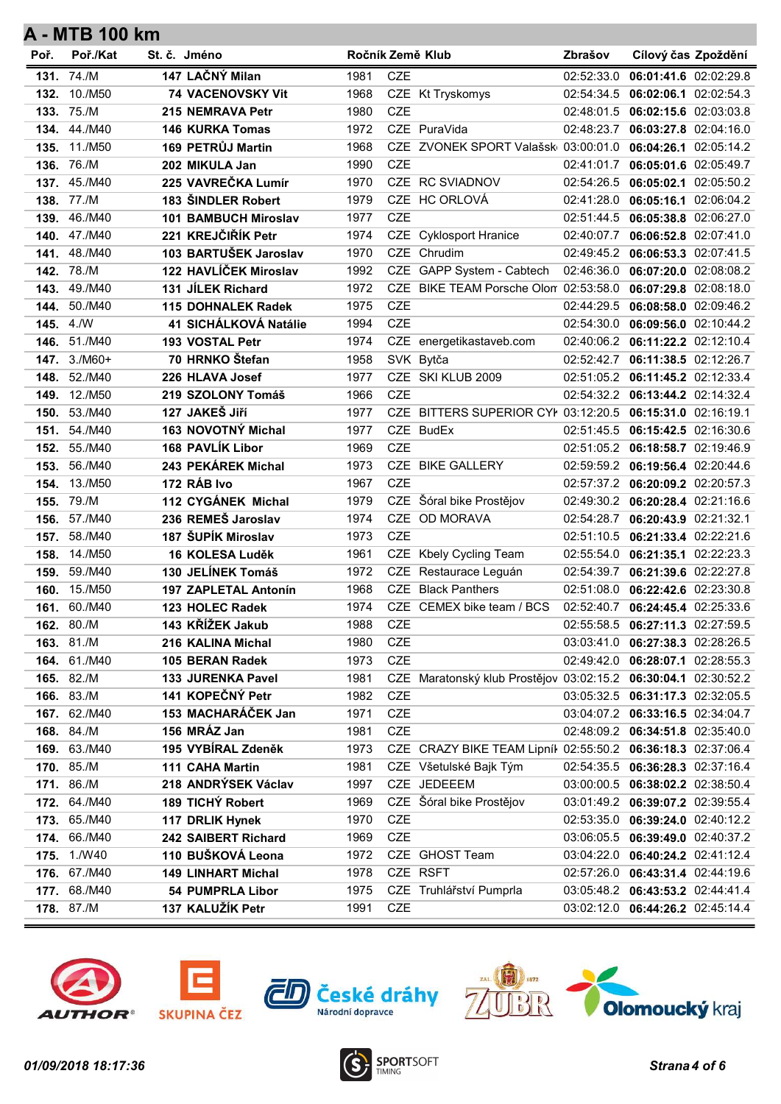| Poř. | Poř./Kat                 | St. č. Jméno                                 | Ročník Země Klub |            |                                                                | Zbrašov    | Cílový čas Zpoždění                  |  |
|------|--------------------------|----------------------------------------------|------------------|------------|----------------------------------------------------------------|------------|--------------------------------------|--|
|      | 131. 74./M               | 147 LAČNÝ Milan                              | 1981             | <b>CZE</b> |                                                                | 02:52:33.0 | 06:01:41.6 02:02:29.8                |  |
| 132. | 10./M50                  | 74 VACENOVSKY Vit                            | 1968             |            | CZE Kt Tryskomys                                               | 02:54:34.5 | 06:02:06.1 02:02:54.3                |  |
|      | 133. 75./M               | 215 NEMRAVA Petr                             | 1980             | <b>CZE</b> |                                                                |            | 02:48:01.5 06:02:15.6 02:03:03.8     |  |
| 134. | 44./M40                  | <b>146 KURKA Tomas</b>                       | 1972             |            | CZE PuraVida                                                   |            | 02:48:23.7 06:03:27.8 02:04:16.0     |  |
| 135. | 11./M50                  | 169 PETRŮJ Martin                            | 1968             |            | CZE ZVONEK SPORT Valašsk 03:00:01.0                            |            | 06:04:26.1 02:05:14.2                |  |
| 136. | 76./M                    | 202 MIKULA Jan                               | 1990             | <b>CZE</b> |                                                                | 02:41:01.7 | 06:05:01.6 02:05:49.7                |  |
|      | 137. 45./M40             | 225 VAVREČKA Lumír                           | 1970             |            | CZE RC SVIADNOV                                                |            | 02:54:26.5 06:05:02.1 02:05:50.2     |  |
|      | 138. 77./M               | 183 ŠINDLER Robert                           | 1979             |            | CZE HC ORLOVÁ                                                  | 02:41:28.0 | 06:05:16.1 02:06:04.2                |  |
| 139. | 46./M40                  | <b>101 BAMBUCH Miroslav</b>                  | 1977             | <b>CZE</b> |                                                                | 02:51:44.5 | 06:05:38.8 02:06:27.0                |  |
| 140. | 47./M40                  | 221 KREJČIŘÍK Petr                           | 1974             | CZE        | <b>Cyklosport Hranice</b>                                      | 02:40:07.7 | 06:06:52.8 02:07:41.0                |  |
| 141. | 48./M40                  | 103 BARTUŠEK Jaroslav                        | 1970             |            | CZE Chrudim                                                    |            | 02:49:45.2 06:06:53.3 02:07:41.5     |  |
|      | 142. 78./M               | 122 HAVLÍČEK Miroslav                        | 1992             |            | CZE GAPP System - Cabtech                                      | 02:46:36.0 | 06:07:20.0 02:08:08.2                |  |
| 143. | 49./M40                  | 131 JÍLEK Richard                            | 1972             |            | CZE BIKE TEAM Porsche Olon 02:53:58.0                          |            | 06:07:29.8 02:08:18.0                |  |
| 144. | 50./M40                  | 115 DOHNALEK Radek                           | 1975             | <b>CZE</b> |                                                                | 02:44:29.5 | 06:08:58.0 02:09:46.2                |  |
|      | 145. 4./W                | 41 SICHÁLKOVÁ Natálie                        | 1994             | <b>CZE</b> |                                                                |            | 02:54:30.0 06:09:56.0 02:10:44.2     |  |
|      | 146. 51./M40             | 193 VOSTAL Petr                              | 1974             |            | CZE energetikastaveb.com                                       |            | 02:40:06.2   06:11:22.2   02:12:10.4 |  |
|      | 147. 3./M60+             | 70 HRNKO Štefan                              | 1958             |            | SVK Bytča                                                      | 02:52:42.7 | 06:11:38.5 02:12:26.7                |  |
|      | <b>148.</b> 52./M40      | 226 HLAVA Josef                              | 1977             |            | CZE SKI KLUB 2009                                              |            | 02:51:05.2 06:11:45.2 02:12:33.4     |  |
|      | <b>149.</b> 12./M50      | 219 SZOLONY Tomáš                            | 1966             | <b>CZE</b> |                                                                |            | 02:54:32.2 06:13:44.2 02:14:32.4     |  |
|      | 150. 53./M40             | 127 JAKEŠ Jiří                               | 1977             |            | CZE BITTERS SUPERIOR CYI 03:12:20.5 06:15:31.0 02:16:19.1      |            |                                      |  |
|      | 151. 54./M40             | 163 NOVOTNÝ Michal                           | 1977             |            | CZE BudEx                                                      | 02:51:45.5 | 06:15:42.5 02:16:30.6                |  |
| 152. | 55./M40                  | 168 PAVLÍK Libor                             | 1969             | <b>CZE</b> |                                                                |            | 02:51:05.2 06:18:58.7 02:19:46.9     |  |
|      | <b>153.</b> 56./M40      | 243 PEKÁREK Michal                           | 1973             |            | CZE BIKE GALLERY                                               |            | 02:59:59.2 06:19:56.4 02:20:44.6     |  |
| 154. | 13./M50                  | 172 RÁB Ivo                                  | 1967             | <b>CZE</b> |                                                                |            | 02:57:37.2 06:20:09.2 02:20:57.3     |  |
|      | 155. 79./M               | 112 CYGÁNEK Michal                           | 1979             |            | CZE Šóral bike Prostějov                                       |            | 02:49:30.2 06:20:28.4 02:21:16.6     |  |
|      | 156. 57./M40             | 236 REMEŠ Jaroslav                           | 1974             |            | CZE OD MORAVA                                                  | 02:54:28.7 | 06:20:43.9 02:21:32.1                |  |
|      | 157. 58./M40             | 187 ŠUPÍK Miroslav                           | 1973             | <b>CZE</b> |                                                                |            | 02:51:10.5 06:21:33.4 02:22:21.6     |  |
| 158. | 14./M50                  | 16 KOLESA Luděk                              | 1961             |            | CZE Kbely Cycling Team                                         |            | 02:55:54.0 06:21:35.1 02:22:23.3     |  |
| 159. | 59./M40                  | 130 JELÍNEK Tomáš                            | 1972             |            | CZE Restaurace Leguán                                          | 02:54:39.7 | 06:21:39.6 02:22:27.8                |  |
| 160. | 15./M50                  | 197 ZAPLETAL Antonín                         | 1968             |            | <b>CZE</b> Black Panthers                                      | 02:51:08.0 | 06:22:42.6 02:23:30.8                |  |
|      | 161. 60./M40             | 123 HOLEC Radek                              | 1974             |            | CZE CEMEX bike team / BCS                                      |            | 02:52:40.7 06:24:45.4 02:25:33.6     |  |
|      | 162. 80./M               | 143 KŘÍŽEK Jakub                             | 1988             | CZE        |                                                                |            | 02:55:58.5   06:27:11.3   02:27:59.5 |  |
|      | 163. 81./M               | 216 KALINA Michal                            | 1980             | CZE        |                                                                |            | 03:03:41.0 06:27:38.3 02:28:26.5     |  |
|      | 164. 61./M40             | 105 BERAN Radek                              | 1973             | CZE        |                                                                |            | 02:49:42.0  06:28:07.1  02:28:55.3   |  |
|      | 165. 82./M<br>166. 83./M | <b>133 JURENKA Pavel</b><br>141 KOPEČNÝ Petr | 1981<br>1982     | CZE        | CZE Maratonský klub Prostějov 03:02:15.2 06:30:04.1 02:30:52.2 |            | 03:05:32.5   06:31:17.3   02:32:05.5 |  |
|      | 167. 62./M40             | 153 MACHARÁČEK Jan                           | 1971             | CZE        |                                                                |            | 03:04:07.2   06:33:16.5   02:34:04.7 |  |
|      | 168. 84./M               | 156 MRÁZ Jan                                 | 1981             | CZE        |                                                                |            | 02:48:09.2  06:34:51.8  02:35:40.0   |  |
|      | 169. 63./M40             | 195 VYBÍRAL Zdeněk                           | 1973             |            | CZE CRAZY BIKE TEAM Lipníl 02:55:50.2 06:36:18.3 02:37:06.4    |            |                                      |  |
|      | 170. 85./M               | 111 CAHA Martin                              | 1981             |            | CZE Všetulské Bajk Tým                                         |            | 02:54:35.5 06:36:28.3 02:37:16.4     |  |
|      | 171. 86./M               | 218 ANDRÝSEK Václav                          | 1997             |            | CZE JEDEEEM                                                    |            |                                      |  |
|      | 172. 64./M40             | 189 TICHÝ Robert                             | 1969             |            | CZE Šóral bike Prostějov                                       |            | 03:01:49.2 06:39:07.2 02:39:55.4     |  |
|      | 173. 65./M40             | 117 DRLIK Hynek                              | 1970             | <b>CZE</b> |                                                                |            | 02:53:35.0 06:39:24.0 02:40:12.2     |  |
|      | 174. 66./M40             | 242 SAIBERT Richard                          | 1969             | CZE        |                                                                |            | 03:06:05.5 06:39:49.0 02:40:37.2     |  |
|      | <b>175.</b> 1./W40       | 110 BUŠKOVÁ Leona                            | 1972             |            | CZE GHOST Team                                                 |            | 03:04:22.0 06:40:24.2 02:41:12.4     |  |
|      | 176. 67./M40             | <b>149 LINHART Michal</b>                    | 1978             |            | CZE RSFT                                                       |            | 02:57:26.0 06:43:31.4 02:44:19.6     |  |
|      | 177. 68./M40             | <b>54 PUMPRLA Libor</b>                      | 1975             |            | CZE Truhlářství Pumprla                                        |            | 03:05:48.2 06:43:53.2 02:44:41.4     |  |
|      | 178. 87./M               | 137 KALUŽÍK Petr                             | 1991             | CZE        |                                                                |            | 03:02:12.0 06:44:26.2 02:45:14.4     |  |
|      |                          |                                              |                  |            |                                                                |            |                                      |  |









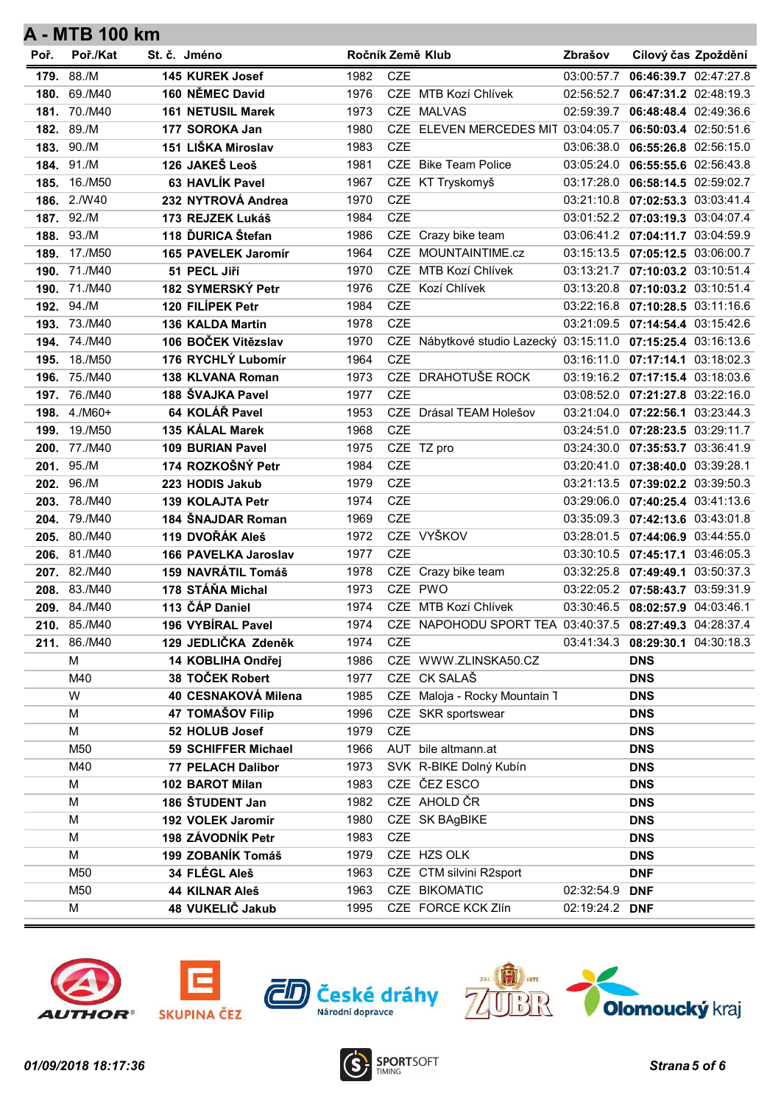| Poř. | Poř./Kat     | St. č. Jméno |                                      | Ročník Země Klub |            |                                                               | Zbrašov        | Cílový čas Zpoždění                |  |
|------|--------------|--------------|--------------------------------------|------------------|------------|---------------------------------------------------------------|----------------|------------------------------------|--|
|      | 179. 88./M   |              | 145 KUREK Josef                      | 1982             | <b>CZE</b> |                                                               | 03:00:57.7     | 06:46:39.7 02:47:27.8              |  |
| 180. | 69./M40      |              | 160 NĚMEC David                      | 1976             |            | CZE MTB Kozí Chlívek                                          | 02:56:52.7     | 06:47:31.2 02:48:19.3              |  |
|      | 181. 70./M40 |              | <b>161 NETUSIL Marek</b>             | 1973             |            | CZE MALVAS                                                    |                | 02:59:39.7 06:48:48.4 02:49:36.6   |  |
|      | 182. 89./M   |              | 177 SOROKA Jan                       | 1980             |            | CZE ELEVEN MERCEDES MIT 03:04:05.7 06:50:03.4 02:50:51.6      |                |                                    |  |
|      | 183. 90./M   |              | 151 LIŠKA Miroslav                   | 1983             | <b>CZE</b> |                                                               | 03:06:38.0     | 06:55:26.8 02:56:15.0              |  |
| 184. | 91./M        |              | 126 JAKEŠ Leoš                       | 1981             |            | CZE Bike Team Police                                          | 03:05:24.0     | 06:55:55.6 02:56:43.8              |  |
| 185. | 16./M50      |              | 63 HAVLÍK Pavel                      | 1967             |            | CZE KT Tryskomyš                                              |                | 03:17:28.0 06:58:14.5 02:59:02.7   |  |
|      | 186. 2./W40  |              | 232 NYTROVÁ Andrea                   | 1970             | <b>CZE</b> |                                                               |                | 03:21:10.8 07:02:53.3 03:03:41.4   |  |
|      | 187. 92./M   |              | 173 REJZEK Lukáš                     | 1984             | <b>CZE</b> |                                                               |                | 03:01:52.2 07:03:19.3 03:04:07.4   |  |
| 188. | 93./M        |              | 118 DURICA Štefan                    | 1986             |            | CZE Crazy bike team                                           |                | 03:06:41.2 07:04:11.7 03:04:59.9   |  |
|      | 189. 17./M50 |              | 165 PAVELEK Jaromír                  | 1964             |            | CZE MOUNTAINTIME.cz                                           |                | 03:15:13.5 07:05:12.5 03:06:00.7   |  |
| 190. | 71./M40      |              | 51 PECL Jiří                         | 1970             | <b>CZE</b> | MTB Kozí Chlívek                                              |                | 03:13:21.7 07:10:03.2 03:10:51.4   |  |
|      | 190. 71./M40 |              | 182 SYMERSKÝ Petr                    | 1976             |            | CZE Kozí Chlívek                                              |                | 03:13:20.8 07:10:03.2 03:10:51.4   |  |
| 192. | 94./M        |              | 120 FILÍPEK Petr                     | 1984             | <b>CZE</b> |                                                               |                | 03:22:16.8 07:10:28.5 03:11:16.6   |  |
|      | 193. 73./M40 |              | <b>136 KALDA Martin</b>              | 1978             | <b>CZE</b> |                                                               |                | 03:21:09.5 07:14:54.4 03:15:42.6   |  |
|      | 194. 74./M40 |              | 106 BOČEK Vítězslav                  | 1970             |            | CZE Nábytkové studio Lazecký 03:15:11.0 07:15:25.4 03:16:13.6 |                |                                    |  |
| 195. | 18./M50      |              | 176 RYCHLÝ Lubomír                   | 1964             | <b>CZE</b> |                                                               |                | 03:16:11.0 07:17:14.1 03:18:02.3   |  |
| 196. | 75./M40      |              | 138 KLVANA Roman                     | 1973             |            | CZE DRAHOTUŠE ROCK                                            |                | 03:19:16.2 07:17:15.4 03:18:03.6   |  |
|      | 197. 76./M40 |              | 188 ŠVAJKA Pavel                     | 1977             | <b>CZE</b> |                                                               |                | 03:08:52.0  07:21:27.8  03:22:16.0 |  |
| 198. | $4./M60+$    |              | 64 KOLÁŘ Pavel                       | 1953             |            | CZE Drásal TEAM Holešov                                       |                | 03:21:04.0  07:22:56.1  03:23:44.3 |  |
| 199. | 19./M50      |              | 135 KÁLAL Marek                      | 1968             | <b>CZE</b> |                                                               |                | 03:24:51.0 07:28:23.5 03:29:11.7   |  |
|      | 200. 77./M40 |              | 109 BURIAN Pavel                     | 1975             |            | CZE TZ pro                                                    |                | 03:24:30.0 07:35:53.7 03:36:41.9   |  |
|      | 201. 95./M   |              | 174 ROZKOŠNÝ Petr                    | 1984             | <b>CZE</b> |                                                               |                | 03:20:41.0 07:38:40.0 03:39:28.1   |  |
| 202. | 96./M        |              | 223 HODIS Jakub                      | 1979             | CZE        |                                                               |                | 03:21:13.5 07:39:02.2 03:39:50.3   |  |
| 203. | 78./M40      |              | 139 KOLAJTA Petr                     | 1974             | <b>CZE</b> |                                                               |                | 03:29:06.0  07:40:25.4  03:41:13.6 |  |
|      | 204. 79./M40 |              | 184 ŠNAJDAR Roman                    | 1969             | <b>CZE</b> |                                                               |                | 03:35:09.3 07:42:13.6 03:43:01.8   |  |
|      | 205. 80./M40 |              | 119 DVOŘÁK Aleš                      | 1972             |            | CZE VYŠKOV                                                    |                | 03:28:01.5 07:44:06.9 03:44:55.0   |  |
|      | 206. 81./M40 |              | 166 PAVELKA Jaroslav                 | 1977             | <b>CZE</b> |                                                               |                | 03:30:10.5 07:45:17.1 03:46:05.3   |  |
|      | 207. 82./M40 |              | 159 NAVRÁTIL Tomáš                   | 1978             |            | CZE Crazy bike team                                           |                | 03:32:25.8 07:49:49.1 03:50:37.3   |  |
|      | 208. 83./M40 |              | 178 STÁŇA Michal                     | 1973             |            | CZE PWO                                                       |                | 03:22:05.2 07:58:43.7 03:59:31.9   |  |
|      | 209. 84./M40 |              | 113 ČÁP Daniel                       | 1974             |            | CZE MTB Kozí Chlívek                                          |                | 03:30:46.5 08:02:57.9 04:03:46.1   |  |
|      | 210. 85./M40 |              | 196 VYBÍRAL Pavel                    | 1974             |            | CZE NAPOHODU SPORT TEA 03:40:37.5 08:27:49.3 04:28:37.4       |                |                                    |  |
|      | 211. 86./M40 |              | 129 JEDLIČKA Zdeněk                  | 1974<br>1986     | CZE        |                                                               |                | 03:41:34.3 08:29:30.1 04:30:18.3   |  |
|      | M<br>M40     |              | 14 KOBLIHA Ondřej<br>38 TOČEK Robert | 1977             |            | CZE WWW.ZLINSKA50.CZ<br>CZE CK SALAŠ                          |                | <b>DNS</b>                         |  |
|      | W            |              | 40 CESNAKOVÁ Milena                  | 1985             |            | CZE Maloja - Rocky Mountain 1                                 |                | <b>DNS</b><br><b>DNS</b>           |  |
|      | М            |              | 47 TOMAŠOV Filip                     | 1996             |            | CZE SKR sportswear                                            |                | <b>DNS</b>                         |  |
|      | M            |              | 52 HOLUB Josef                       | 1979             | CZE        |                                                               |                | <b>DNS</b>                         |  |
|      | M50          |              | 59 SCHIFFER Michael                  | 1966             |            | AUT bile altmann.at                                           |                | <b>DNS</b>                         |  |
|      | M40          |              | <b>77 PELACH Dalibor</b>             | 1973             |            | SVK R-BIKE Dolný Kubín                                        |                | <b>DNS</b>                         |  |
|      | М            |              | 102 BAROT Milan                      | 1983             |            | CZE ČEZ ESCO                                                  |                | <b>DNS</b>                         |  |
|      | M            |              | 186 ŠTUDENT Jan                      | 1982             |            | CZE AHOLD ČR                                                  |                | <b>DNS</b>                         |  |
|      | M            |              | 192 VOLEK Jaromír                    | 1980             |            | CZE SK BAgBIKE                                                |                | <b>DNS</b>                         |  |
|      | M            |              | 198 ZÁVODNÍK Petr                    | 1983             | CZE        |                                                               |                | <b>DNS</b>                         |  |
|      | М            |              | 199 ZOBANÍK Tomáš                    | 1979             |            | CZE HZS OLK                                                   |                | <b>DNS</b>                         |  |
|      | M50          |              | 34 FLÉGL Aleš                        | 1963             |            | CZE CTM silvini R2sport                                       |                | <b>DNF</b>                         |  |
|      | M50          |              | 44 KILNAR Aleš                       | 1963             |            | CZE BIKOMATIC                                                 | 02:32:54.9     | <b>DNF</b>                         |  |
|      | M            |              | 48 VUKELIČ Jakub                     | 1995             |            | CZE FORCE KCK Zlín                                            | 02:19:24.2 DNF |                                    |  |
|      |              |              |                                      |                  |            |                                                               |                |                                    |  |